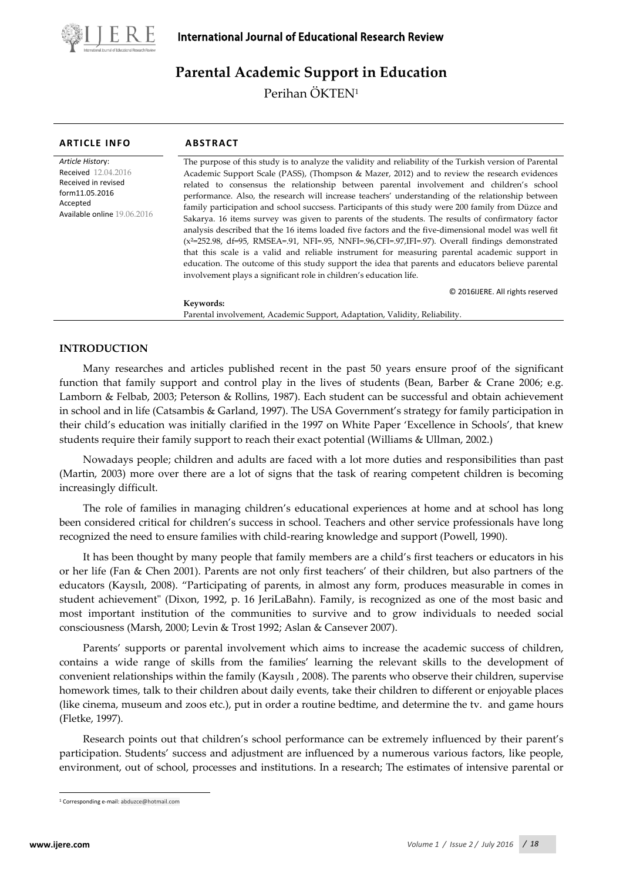

# **Parental Academic Support in Education**

Perihan ÖKTEN1

| <b>ARTICLE INFO</b>                                                                                                                       | <b>ABSTRACT</b>                                                                                                                                                                                                                                                                                                                                                                                                                                                                                                                                                                                                                                                                                                                                                                                                                                                                                                                                                                                                                                                                                                       |
|-------------------------------------------------------------------------------------------------------------------------------------------|-----------------------------------------------------------------------------------------------------------------------------------------------------------------------------------------------------------------------------------------------------------------------------------------------------------------------------------------------------------------------------------------------------------------------------------------------------------------------------------------------------------------------------------------------------------------------------------------------------------------------------------------------------------------------------------------------------------------------------------------------------------------------------------------------------------------------------------------------------------------------------------------------------------------------------------------------------------------------------------------------------------------------------------------------------------------------------------------------------------------------|
| Article History:<br><b>Received</b> 12.04.2016<br>Received in revised<br>form11.05.2016<br>Accepted<br><b>Available online 19.06.2016</b> | The purpose of this study is to analyze the validity and reliability of the Turkish version of Parental<br>Academic Support Scale (PASS), (Thompson & Mazer, 2012) and to review the research evidences<br>related to consensus the relationship between parental involvement and children's school<br>performance. Also, the research will increase teachers' understanding of the relationship between<br>family participation and school succsess. Participants of this study were 200 family from Düzce and<br>Sakarya. 16 items survey was given to parents of the students. The results of confirmatory factor<br>analysis described that the 16 items loaded five factors and the five-dimensional model was well fit<br>$(x^2=252.98, df=95, RMSEA=0.91, NFI=0.95, NNFI=0.96, CFI=0.97, IFI=0.97). Overall findings demonstrated$<br>that this scale is a valid and reliable instrument for measuring parental academic support in<br>education. The outcome of this study support the idea that parents and educators believe parental<br>involvement plays a significant role in children's education life. |
|                                                                                                                                           | © 2016 UERE. All rights reserved                                                                                                                                                                                                                                                                                                                                                                                                                                                                                                                                                                                                                                                                                                                                                                                                                                                                                                                                                                                                                                                                                      |
|                                                                                                                                           | Keywords:                                                                                                                                                                                                                                                                                                                                                                                                                                                                                                                                                                                                                                                                                                                                                                                                                                                                                                                                                                                                                                                                                                             |
|                                                                                                                                           | Parental involvement, Academic Support, Adaptation, Validity, Reliability.                                                                                                                                                                                                                                                                                                                                                                                                                                                                                                                                                                                                                                                                                                                                                                                                                                                                                                                                                                                                                                            |

# **INTRODUCTION**

Many researches and articles published recent in the past 50 years ensure proof of the significant function that family support and control play in the lives of students (Bean, Barber & Crane 2006; e.g. Lamborn & Felbab, 2003; Peterson & Rollins, 1987). Each student can be successful and obtain achievement in school and in life (Catsambis & Garland, 1997). The USA Government's strategy for family participation in their child's education was initially clarified in the 1997 on White Paper 'Excellence in Schools', that knew students require their family support to reach their exact potential (Williams & Ullman, 2002.)

Nowadays people; children and adults are faced with a lot more duties and responsibilities than past (Martin, 2003) more over there are a lot of signs that the task of rearing competent children is becoming increasingly difficult.

The role of families in managing children's educational experiences at home and at school has long been considered critical for children's success in school. Teachers and other service professionals have long recognized the need to ensure families with child-rearing knowledge and support (Powell, 1990).

It has been thought by many people that family members are a child's first teachers or educators in his or her life (Fan & Chen 2001). Parents are not only first teachers' of their children, but also partners of the educators (Kaysılı, 2008). "Participating of parents, in almost any form, produces measurable in comes in student achievement" (Dixon, 1992, p. 16 JeriLaBahn). Family, is recognized as one of the most basic and most important institution of the communities to survive and to grow individuals to needed social consciousness (Marsh, 2000; Levin & Trost 1992; Aslan & Cansever 2007).

Parents' supports or parental involvement which aims to increase the academic success of children, contains a wide range of skills from the families' learning the relevant skills to the development of convenient relationships within the family (Kaysılı , 2008). The parents who observe their children, supervise homework times, talk to their children about daily events, take their children to different or enjoyable places (like cinema, museum and zoos etc.), put in order a routine bedtime, and determine the tv. and game hours (Fletke, 1997).

Research points out that children's school performance can be extremely influenced by their parent's participation. Students' success and adjustment are influenced by a numerous various factors, like people, environment, out of school, processes and institutions. In a research; The estimates of intensive parental or

 $\overline{a}$ 

<span id="page-0-0"></span><sup>1</sup> Corresponding e-mail: abduzce@hotmail.com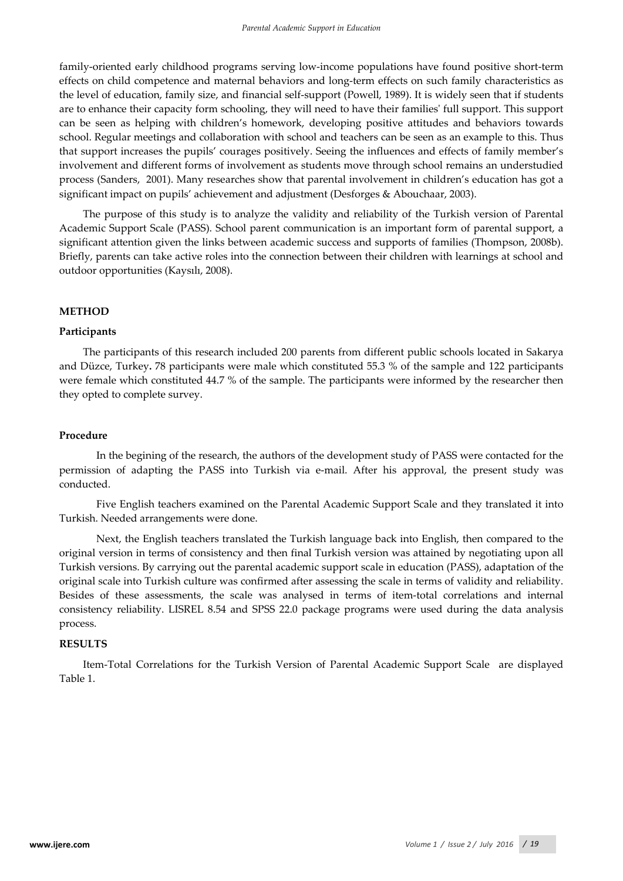family-oriented early childhood programs serving low-income populations have found positive short-term effects on child competence and maternal behaviors and long-term effects on such family characteristics as the level of education, family size, and financial self-support (Powell, 1989). It is widely seen that if students are to enhance their capacity form schooling, they will need to have their families' full support. This support can be seen as helping with children's homework, developing positive attitudes and behaviors towards school. Regular meetings and collaboration with school and teachers can be seen as an example to this. Thus that support increases the pupils' courages positively. Seeing the influences and effects of family member's involvement and different forms of involvement as students move through school remains an understudied process (Sanders, 2001). Many researches show that parental involvement in children's education has got a significant impact on pupils' achievement and adjustment (Desforges & Abouchaar, 2003).

The purpose of this study is to analyze the validity and reliability of the Turkish version of Parental Academic Support Scale (PASS). School parent communication is an important form of parental support, a significant attention given the links between academic success and supports of families (Thompson, 2008b). Briefly, parents can take active roles into the connection between their children with learnings at school and outdoor opportunities (Kaysılı, 2008).

# **METHOD**

### **Participants**

The participants of this research included 200 parents from different public schools located in Sakarya and Düzce, Turkey**.** 78 participants were male which constituted 55.3 % of the sample and 122 participants were female which constituted 44.7 % of the sample. The participants were informed by the researcher then they opted to complete survey.

### **Procedure**

In the begining of the research, the authors of the development study of PASS were contacted for the permission of adapting the PASS into Turkish via e-mail. After his approval, the present study was conducted.

Five English teachers examined on the Parental Academic Support Scale and they translated it into Turkish. Needed arrangements were done.

Next, the English teachers translated the Turkish language back into English, then compared to the original version in terms of consistency and then final Turkish version was attained by negotiating upon all Turkish versions. By carrying out the parental academic support scale in education (PASS), adaptation of the original scale into Turkish culture was confirmed after assessing the scale in terms of validity and reliability. Besides of these assessments, the scale was analysed in terms of item-total correlations and internal consistency reliability. LISREL 8.54 and SPSS 22.0 package programs were used during the data analysis process.

### **RESULTS**

Item-Total Correlations for the Turkish Version of Parental Academic Support Scale are displayed Table 1.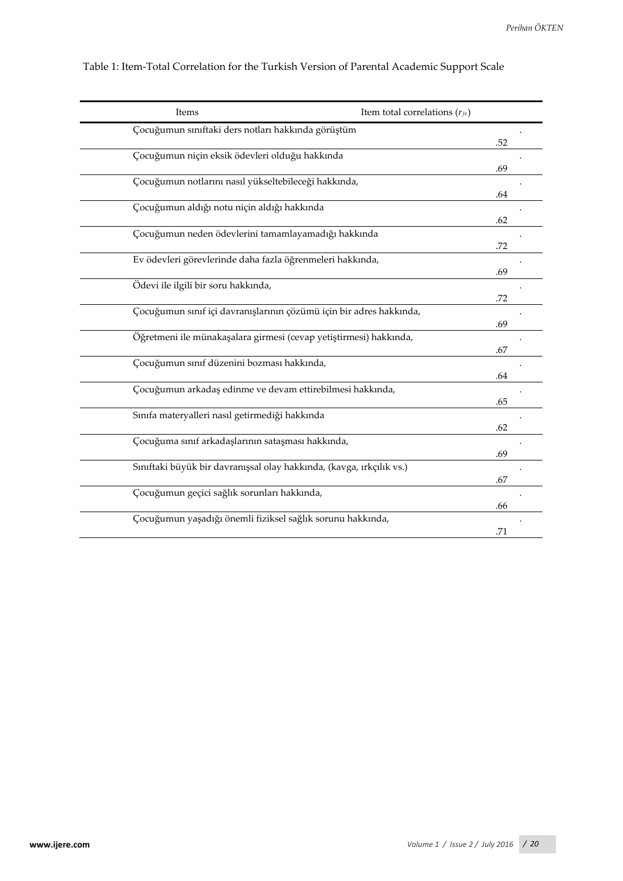| Items                                                                | Item total correlations $(r_{jx})$ |
|----------------------------------------------------------------------|------------------------------------|
| Çocuğumun sınıftaki ders notları hakkında görüştüm                   |                                    |
|                                                                      | .52                                |
| Çocuğumun niçin eksik ödevleri olduğu hakkında                       |                                    |
|                                                                      | .69                                |
| Çocuğumun notlarını nasıl yükseltebileceği hakkında,                 |                                    |
|                                                                      | .64                                |
| Çocuğumun aldığı notu niçin aldığı hakkında                          |                                    |
|                                                                      | .62                                |
| Çocuğumun neden ödevlerini tamamlayamadığı hakkında                  |                                    |
|                                                                      | .72                                |
| Ev ödevleri görevlerinde daha fazla öğrenmeleri hakkında,            |                                    |
|                                                                      | .69                                |
| Ödevi ile ilgili bir soru hakkında,                                  |                                    |
|                                                                      | .72                                |
| Çocuğumun sınıf içi davranışlarının çözümü için bir adres hakkında,  |                                    |
|                                                                      | .69                                |
| Öğretmeni ile münakaşalara girmesi (cevap yetiştirmesi) hakkında,    |                                    |
|                                                                      | .67                                |
| Çocuğumun sınıf düzenini bozması hakkında,                           |                                    |
|                                                                      | .64                                |
| Çocuğumun arkadaş edinme ve devam ettirebilmesi hakkında,            |                                    |
|                                                                      | .65                                |
| Sınıfa materyalleri nasıl getirmediği hakkında                       |                                    |
|                                                                      | .62                                |
| Çocuğuma sınıf arkadaşlarının sataşması hakkında,                    |                                    |
|                                                                      | .69                                |
| Sınıftaki büyük bir davranışsal olay hakkında, (kavga, ırkçılık vs.) |                                    |
|                                                                      | .67                                |
| Çocuğumun geçici sağlık sorunları hakkında,                          |                                    |
|                                                                      | .66                                |
| Çocuğumun yaşadığı önemli fiziksel sağlık sorunu hakkında,           |                                    |
|                                                                      | .71                                |
|                                                                      |                                    |

Table 1: Item-Total Correlation for the Turkish Version of Parental Academic Support Scale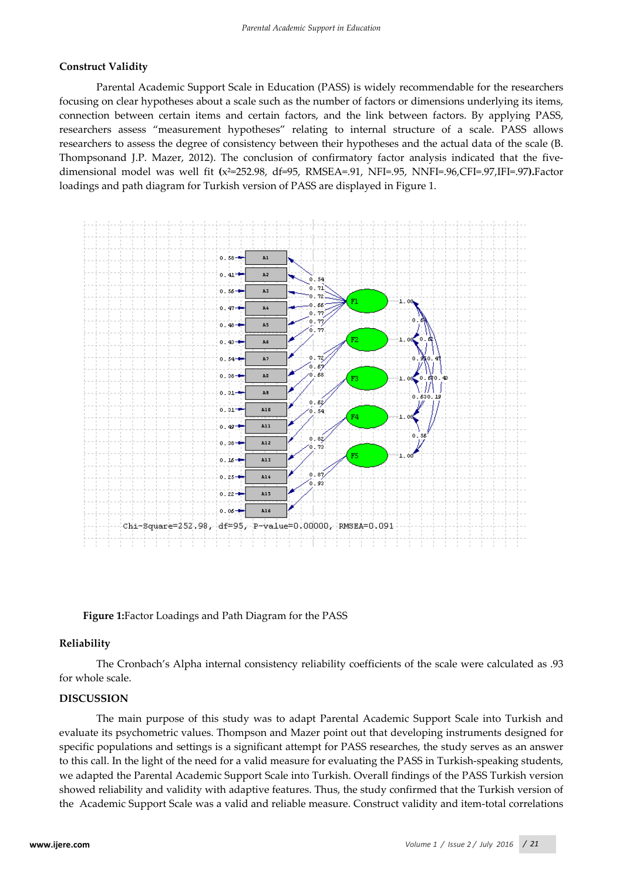# **Construct Validity**

Parental Academic Support Scale in Education (PASS) is widely recommendable for the researchers focusing on clear hypotheses about a scale such as the number of factors or dimensions underlying its items, connection between certain items and certain factors, and the link between factors. By applying PASS, researchers assess "measurement hypotheses" relating to internal structure of a scale. PASS allows researchers to assess the degree of consistency between their hypotheses and the actual data of the scale (B. Thompsonand J.P. Mazer, 2012). The conclusion of confirmatory factor analysis indicated that the fivedimensional model was well fit **(**x²=252.98, df=95, RMSEA=.91, NFI=.95, NNFI=.96,CFI=.97,IFI=.97**).**Factor loadings and path diagram for Turkish version of PASS are displayed in Figure 1.



**Figure 1:**Factor Loadings and Path Diagram for the PASS

#### **Reliability**

The Cronbach's Alpha internal consistency reliability coefficients of the scale were calculated as .93 for whole scale.

#### **DISCUSSION**

The main purpose of this study was to adapt Parental Academic Support Scale into Turkish and evaluate its psychometric values. Thompson and Mazer point out that developing instruments designed for specific populations and settings is a significant attempt for PASS researches, the study serves as an answer to this call. In the light of the need for a valid measure for evaluating the PASS in Turkish-speaking students, we adapted the Parental Academic Support Scale into Turkish. Overall findings of the PASS Turkish version showed reliability and validity with adaptive features. Thus, the study confirmed that the Turkish version of the Academic Support Scale was a valid and reliable measure. Construct validity and item-total correlations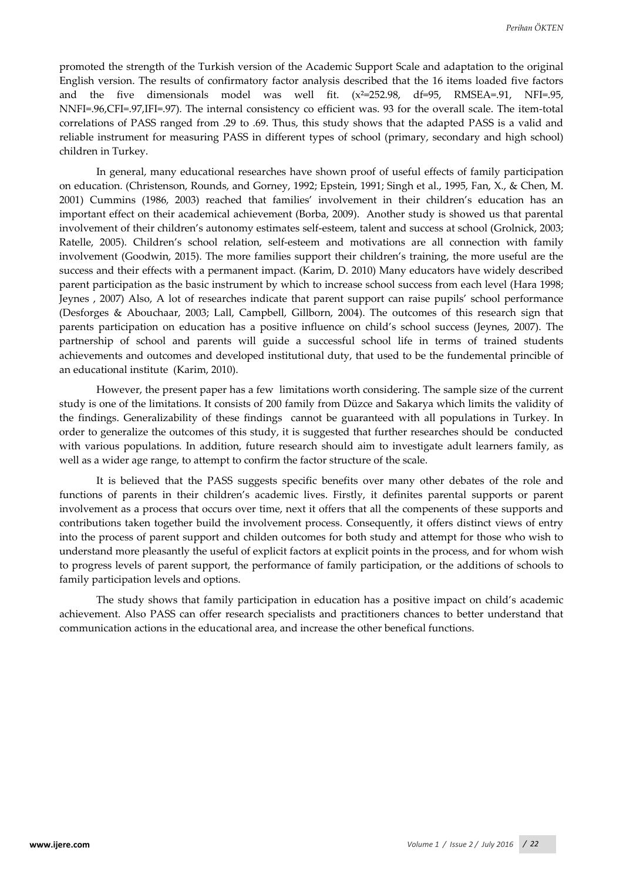promoted the strength of the Turkish version of the Academic Support Scale and adaptation to the original English version. The results of confirmatory factor analysis described that the 16 items loaded five factors and the five dimensionals model was well fit.  $(x^2=252.98, df=95, RMSEA=0.91, NFI=0.95,$ NNFI=.96,CFI=.97,IFI=.97). The internal consistency co efficient was. 93 for the overall scale. The item-total correlations of PASS ranged from .29 to .69. Thus, this study shows that the adapted PASS is a valid and reliable instrument for measuring PASS in different types of school (primary, secondary and high school) children in Turkey.

In general, many educational researches have shown proof of useful effects of family participation on education. (Christenson, Rounds, and Gorney, 1992; Epstein, 1991; Singh et al., 1995, Fan, X., & Chen, M. 2001) Cummins (1986, 2003) reached that families' involvement in their children's education has an important effect on their academical achievement (Borba, 2009). Another study is showed us that parental involvement of their children's autonomy estimates self-esteem, talent and success at school (Grolnick, 2003; Ratelle, 2005). Children's school relation, self-esteem and motivations are all connection with family involvement (Goodwin, 2015). The more families support their children's training, the more useful are the success and their effects with a permanent impact. (Karim, D. 2010) Many educators have widely described parent participation as the basic instrument by which to increase school success from each level (Hara 1998; Jeynes , 2007) Also, A lot of researches indicate that parent support can raise pupils' school performance (Desforges & Abouchaar, 2003; Lall, Campbell, Gillborn, 2004). The outcomes of this research sign that parents participation on education has a positive influence on child's school success (Jeynes, 2007). The partnership of school and parents will guide a successful school life in terms of trained students achievements and outcomes and developed institutional duty, that used to be the fundemental princible of an educational institute (Karim, 2010).

However, the present paper has a few limitations worth considering. The sample size of the current study is one of the limitations. It consists of 200 family from Düzce and Sakarya which limits the validity of the findings. Generalizability of these findings cannot be guaranteed with all populations in Turkey. In order to generalize the outcomes of this study, it is suggested that further researches should be conducted with various populations. In addition, future research should aim to investigate adult learners family, as well as a wider age range, to attempt to confirm the factor structure of the scale.

It is believed that the PASS suggests specific benefits over many other debates of the role and functions of parents in their children's academic lives. Firstly, it definites parental supports or parent involvement as a process that occurs over time, next it offers that all the compenents of these supports and contributions taken together build the involvement process. Consequently, it offers distinct views of entry into the process of parent support and childen outcomes for both study and attempt for those who wish to understand more pleasantly the useful of explicit factors at explicit points in the process, and for whom wish to progress levels of parent support, the performance of family participation, or the additions of schools to family participation levels and options.

The study shows that family participation in education has a positive impact on child's academic achievement. Also PASS can offer research specialists and practitioners chances to better understand that communication actions in the educational area, and increase the other benefical functions.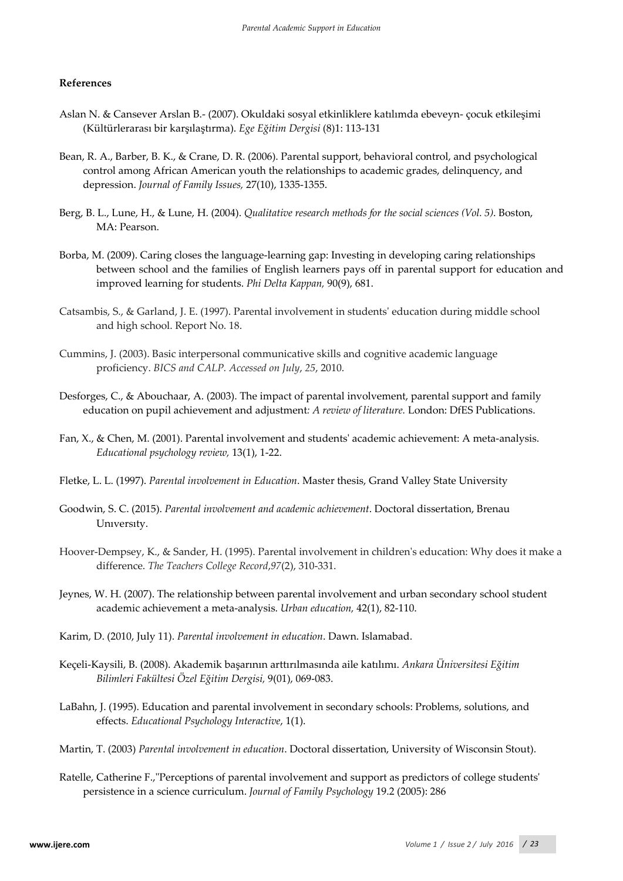# **References**

- Aslan N. & Cansever Arslan B.- (2007). Okuldaki sosyal etkinliklere katılımda ebeveyn- çocuk etkileşimi (Kültürlerarası bir karşılaştırma). *Ege Eğitim Dergisi* (8)1: 113-131
- Bean, R. A., Barber, B. K., & Crane, D. R. (2006). Parental support, behavioral control, and psychological control among African American youth the relationships to academic grades, delinquency, and depression. *Journal of Family Issues,* 27(10), 1335-1355.
- Berg, B. L., Lune, H., & Lune, H. (2004). *Qualitative research methods for the social sciences (Vol. 5)*. Boston, MA: Pearson.
- Borba, M. (2009). Caring closes the language-learning gap: Investing in developing caring relationships between school and the families of English learners pays off in parental support for education and improved learning for students. *Phi Delta Kappan,* 90(9), 681.
- Catsambis, S., & Garland, J. E. (1997). Parental involvement in students' education during middle school and high school. Report No. 18.
- Cummins, J. (2003). Basic interpersonal communicative skills and cognitive academic language proficiency. *BICS and CALP. Accessed on July*, *25*, 2010.
- Desforges, C., & Abouchaar, A. (2003). The impact of parental involvement, parental support and family education on pupil achievement and adjustment*: A review of literature.* London: DfES Publications.
- Fan, X., & Chen, M. (2001). Parental involvement and students' academic achievement: A meta-analysis. *Educational psychology review,* 13(1), 1-22.
- Fletke, L. L. (1997). *Parental involvement in Education*. Master thesis, Grand Valley State University
- Goodwin, S. C. (2015). *Parental involvement and academic achievement*. Doctoral dissertation, Brenau Unıversıty.
- Hoover-Dempsey, K., & Sander, H. (1995). Parental involvement in children's education: Why does it make a difference. *The Teachers College Record*,*97*(2), 310-331.
- Jeynes, W. H. (2007). The relationship between parental involvement and urban secondary school student academic achievement a meta-analysis. *Urban education,* 42(1), 82-110.
- Karim, D. (2010, July 11). *Parental involvement in education*. Dawn. Islamabad.
- Keçeli-Kaysili, B. (2008). Akademik başarının arttırılmasında aile katılımı. *Ankara Üniversitesi Eğitim Bilimleri Fakültesi Özel Eğitim Dergisi,* 9(01), 069-083.
- LaBahn, J. (1995). Education and parental involvement in secondary schools: Problems, solutions, and effects. *Educational Psychology Interactive*, 1(1).
- Martin, T. (2003) *Parental involvement in education*. Doctoral dissertation, University of Wisconsin Stout).
- Ratelle, Catherine F.,"Perceptions of parental involvement and support as predictors of college students' persistence in a science curriculum. *Journal of Family Psychology* 19.2 (2005): 286